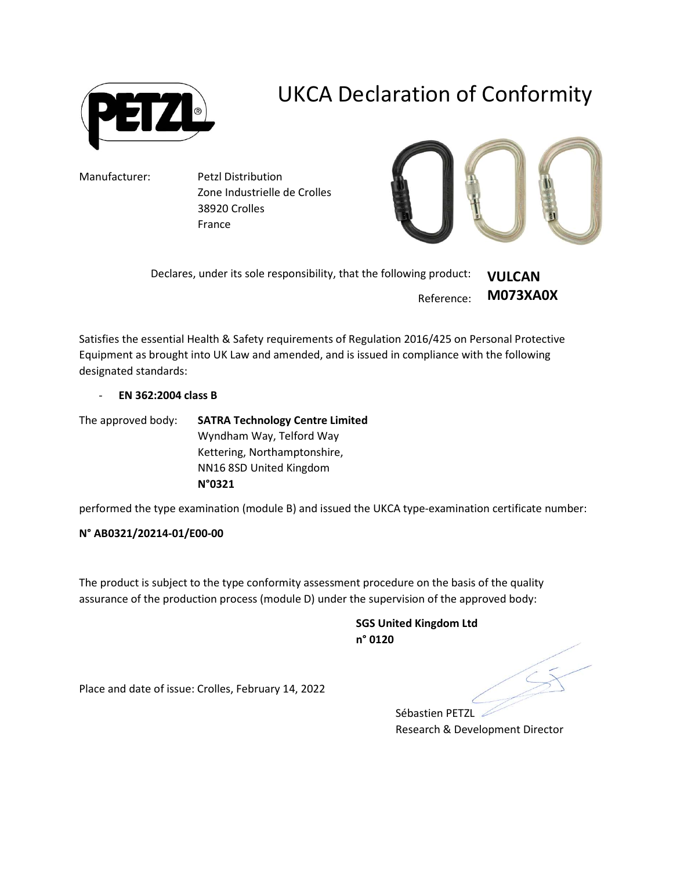

## UKCA Declaration of Conformity

Manufacturer: Petzl Distribution Zone Industrielle de Crolles 38920 Crolles France



Declares, under its sole responsibility, that the following product: Reference: VULCAN M073XA0X

Satisfies the essential Health & Safety requirements of Regulation 2016/425 on Personal Protective Equipment as brought into UK Law and amended, and is issued in compliance with the following designated standards:

- EN 362:2004 class B

The approved body: SATRA Technology Centre Limited Wyndham Way, Telford Way Kettering, Northamptonshire, NN16 8SD United Kingdom N°0321

performed the type examination (module B) and issued the UKCA type-examination certificate number:

## N° AB0321/20214-01/E00-00

The product is subject to the type conformity assessment procedure on the basis of the quality assurance of the production process (module D) under the supervision of the approved body:

> SGS United Kingdom Ltd n° 0120

Place and date of issue: Crolles, February 14, 2022

Sébastien PETZL Research & Development Director